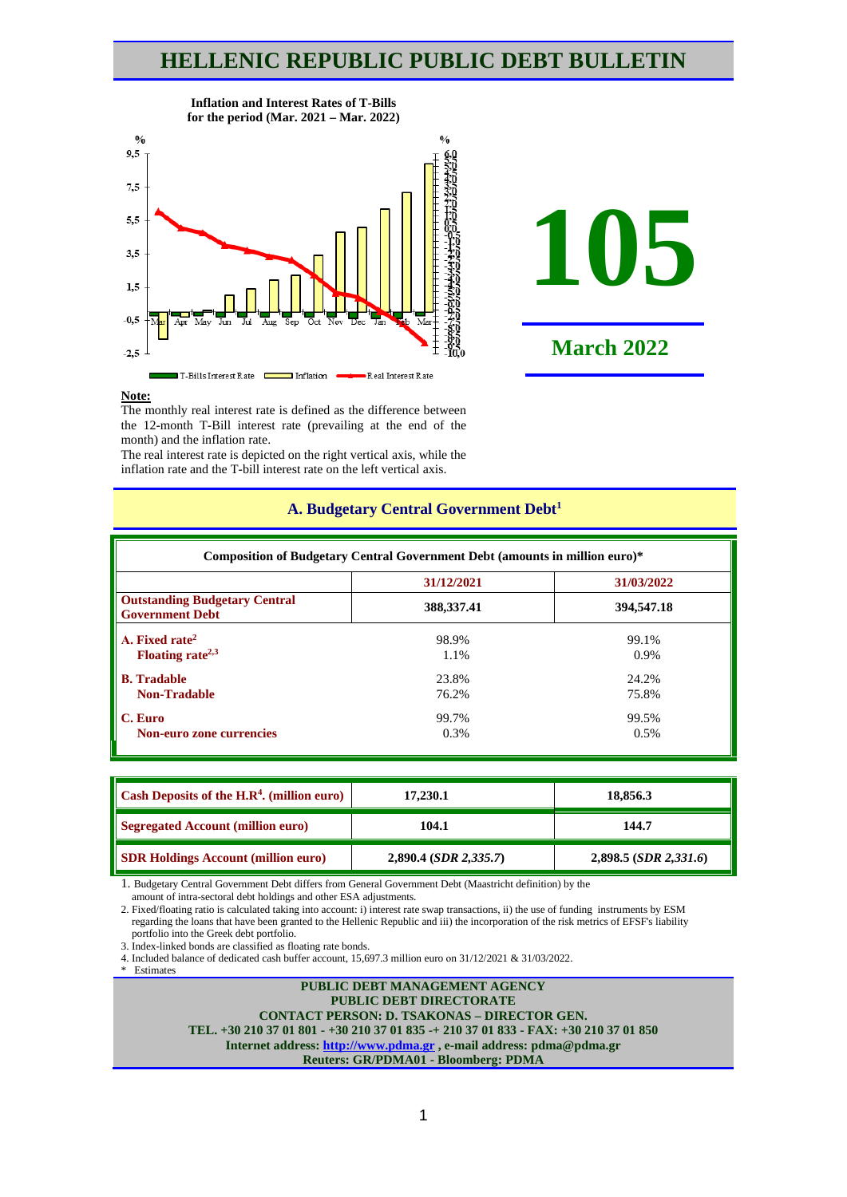# **HELLENIC REPUBLIC PUBLIC DEBT BULLETIN**



**Inflation and Interest Rates of T-Bills**



#### **Note:**

The monthly real interest rate is defined as the difference between the 12-month T-Bill interest rate (prevailing at the end of the month) and the inflation rate.

The real interest rate is depicted on the right vertical axis, while the inflation rate and the T-bill interest rate on the left vertical axis.

|                                                                | Composition of Budgetary Central Government Debt (amounts in million euro)* |            |  |  |  |  |  |  |  |  |  |
|----------------------------------------------------------------|-----------------------------------------------------------------------------|------------|--|--|--|--|--|--|--|--|--|
| 31/12/2021<br>31/03/2022                                       |                                                                             |            |  |  |  |  |  |  |  |  |  |
| <b>Outstanding Budgetary Central</b><br><b>Government Debt</b> | 388, 337. 41                                                                | 394,547.18 |  |  |  |  |  |  |  |  |  |
| A. Fixed rate <sup>2</sup>                                     | 98.9%                                                                       | 99.1%      |  |  |  |  |  |  |  |  |  |
| Floating rate <sup><math>2,3</math></sup>                      | 1.1%                                                                        | 0.9%       |  |  |  |  |  |  |  |  |  |
| <b>B.</b> Tradable                                             | 23.8%                                                                       | 24.2%      |  |  |  |  |  |  |  |  |  |
| <b>Non-Tradable</b>                                            | 76.2%                                                                       | 75.8%      |  |  |  |  |  |  |  |  |  |
| C. Euro                                                        | 99.7%                                                                       | 99.5%      |  |  |  |  |  |  |  |  |  |
| Non-euro zone currencies                                       | $0.3\%$                                                                     | 0.5%       |  |  |  |  |  |  |  |  |  |

## **A. Budgetary Central Government Debt1**

| Cash Deposits of the H.R <sup>4</sup> . (million euro) | 17,230.1                | 18,856.3                   |
|--------------------------------------------------------|-------------------------|----------------------------|
| <b>Segregated Account (million euro)</b>               | 104.1                   | 144.7                      |
| <b>SDR Holdings Account (million euro)</b>             | $2,890.4$ (SDR 2,335.7) | $2,898.5$ (SDR $2,331.6$ ) |

1. Budgetary Central Government Debt differs from General Government Debt (Maastricht definition) by the

amount of intra-sectoral debt holdings and other ESA adjustments.

2. Fixed/floating ratio is calculated taking into account: i) interest rate swap transactions, ii) the use of funding instruments by ESM regarding the loans that have been granted to the Hellenic Republic and iii) the incorporation of the risk metrics of EFSF's liability portfolio into the Greek debt portfolio.

3. Index-linked bonds are classified as floating rate bonds.

4. Included balance of dedicated cash buffer account, 15,697.3 million euro οn 31/12/2021 & 31/03/2022.

\* Estimates

#### **PUBLIC DEBT MANAGEMENT AGENCY PUBLIC DEBT DIRECTORATE CONTACT PERSON: D. TSAKONAS – DIRECTOR GEN. TEL. +30 210 37 01 801 - +30 210 37 01 835 -+ 210 37 01 833 - FAX: +30 210 37 01 850 Internet address: [http://www.pdma.gr](http://www.pdma.gr/) , e-mail address: pdma@pdma.gr Reuters: GR/PDMA01 - Bloomberg: PDMA**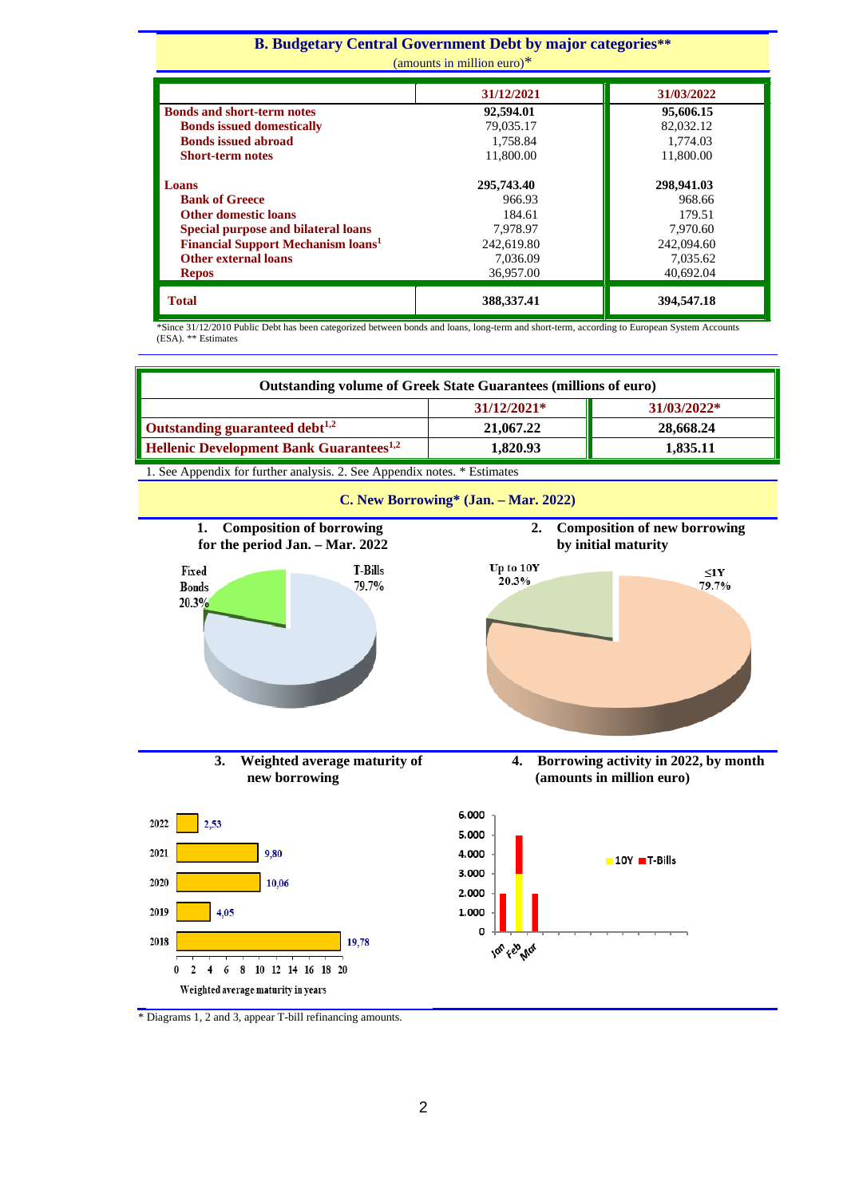#### **Β. Budgetary Central Government Debt by major categories\*\*** (amounts in million euro)\* **31/12/2021 31/03/2022 Bonds and short-term notes** 92,594.01 95,606.15 **19,035.17 82,032.12 82,032.12 82,032.12 82,032.12 82,032.12 82,032.12 82,032.12 82,032.12 82,032.12 82,032.12 1,758.84 issued abroad issued abroad issued abroad issued abroad issued abroad issued 5 <b>issued abroad issued 5 <b>issued 5 issued issued issued issued issued issued issued issued issued is Short-term notes Loans 295,743.40 298,941.03 Bank of Greece** 966.93 968.66<br> **184.61** 968.66 968.66 968.66 968.66 968.66 968.66 968.66 968.66 968.97 968.66 979.51 **184.61 179.51 184.61** 179.51 **Special purpose and bilateral loans** 184.61 179.51 179.51 **Special purpose and bilateral loans** 7,978.97 7,970.60<br> **Financial Support Mechanism loans** 242,619.80 242,094.60 **Financial Support Mechanism loans<sup>1</sup> Other external loans Repos** 7,036.09 36,957.00 7,035.62 40,692.04

\*Since 31/12/2010 Public Debt has been categorized between bonds and loans, long-term and short-term, according to European System Accounts (ESA). \*\* Estimates

**Total 388,337.41 394,547.18** 

| <b>Outstanding volume of Greek State Guarantees (millions of euro)</b>                  |                                                         |                                                                   |
|-----------------------------------------------------------------------------------------|---------------------------------------------------------|-------------------------------------------------------------------|
|                                                                                         | 31/12/2021*                                             | 31/03/2022*                                                       |
| Outstanding guaranteed debt <sup>1,2</sup>                                              | 21,067.22                                               | 28,668.24                                                         |
| <b>Hellenic Development Bank Guarantees<sup>1,2</sup></b>                               | 1,820.93                                                | 1,835.11                                                          |
| 1. See Appendix for further analysis. 2. See Appendix notes. * Estimates                |                                                         |                                                                   |
|                                                                                         | C. New Borrowing* (Jan. - Mar. 2022)                    |                                                                   |
| <b>Composition of borrowing</b><br>1.<br>for the period Jan. - Mar. 2022                | 2.                                                      | <b>Composition of new borrowing</b><br>by initial maturity        |
| <b>T-Bills</b><br>Fixed<br>79.7%<br><b>Bonds</b><br>20.3%                               | Up to 10Y<br>20.3%                                      | $\leq$ 1Y<br>79.7%                                                |
| 3.<br>Weighted average maturity of<br>new borrowing                                     | 4.                                                      | Borrowing activity in 2022, by month<br>(amounts in million euro) |
| 2022<br>2,53<br>2021<br>9,80<br>2020<br>10,06<br>2019<br>4,05                           | 6.000<br>5.000<br>4.000<br>3.000<br>2.000<br>1.000<br>0 | $-10Y$ T-Bills                                                    |
| 2018<br>19,78<br>8<br>10 12 14 16 18 20<br>6<br>0<br>Weighted average maturity in years | Jon Feb Mor                                             |                                                                   |

\* Diagrams 1, 2 and 3, appear T-bill refinancing amounts.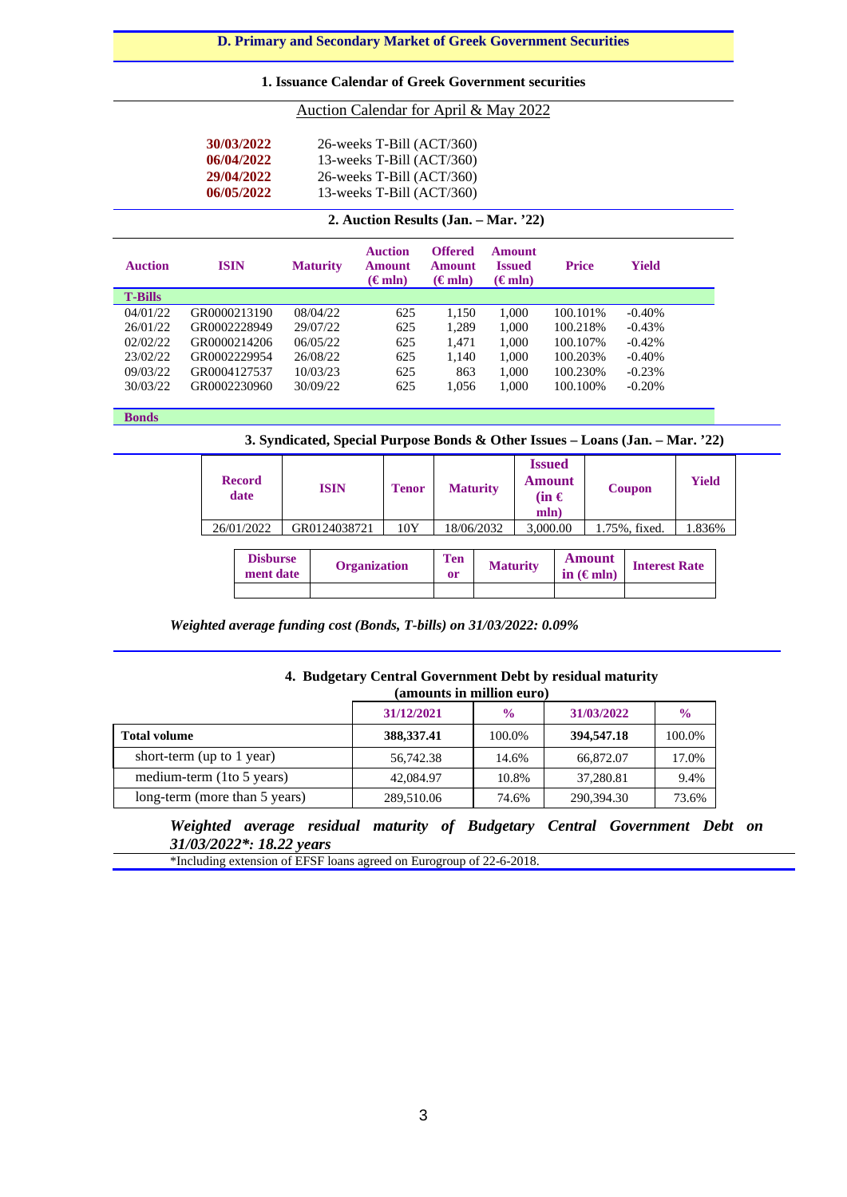## **D. Primary and Secondary Market of Greek Government Securities**

### **1. Issuance Calendar of Greek Government securities**

### Auction Calendar for April & May 2022

| 30/03/2022 | $26$ -weeks T-Bill $(ACT/360)$ |
|------------|--------------------------------|
| 06/04/2022 | 13-weeks T-Bill $(ACT/360)$    |
| 29/04/2022 | $26$ -weeks T-Bill $(ACT/360)$ |
| 06/05/2022 | 13-weeks T-Bill $(ACT/360)$    |

### **2. Auction Results (Jan. – Mar. '22)**

| <b>Auction</b> | <b>ISIN</b>  | <b>Maturity</b> | <b>Auction</b><br><b>Amount</b><br>$(\epsilon m \ln)$ | <b>Offered</b><br><b>Amount</b><br>$(\epsilon m \ln)$ | Amount<br><b>Issued</b><br>$(\epsilon m \ln)$ | <b>Price</b> | <b>Yield</b> |  |
|----------------|--------------|-----------------|-------------------------------------------------------|-------------------------------------------------------|-----------------------------------------------|--------------|--------------|--|
| <b>T-Bills</b> |              |                 |                                                       |                                                       |                                               |              |              |  |
| 04/01/22       | GR0000213190 | 08/04/22        | 625                                                   | 1.150                                                 | 1.000                                         | 100.101\%    | $-0.40%$     |  |
| 26/01/22       | GR0002228949 | 29/07/22        | 625                                                   | 1,289                                                 | 1.000                                         | 100.218%     | $-0.43%$     |  |
| 02/02/22       | GR0000214206 | 06/05/22        | 625                                                   | 1.471                                                 | 1,000                                         | 100.107%     | $-0.42%$     |  |
| 23/02/22       | GR0002229954 | 26/08/22        | 625                                                   | 1.140                                                 | 1.000                                         | 100.203%     | $-0.40%$     |  |
| 09/03/22       | GR0004127537 | 10/03/23        | 625                                                   | 863                                                   | 1,000                                         | 100.230\%    | $-0.23%$     |  |
| 30/03/22       | GR0002230960 | 30/09/22        | 625                                                   | 1,056                                                 | 1,000                                         | 100.100%     | $-0.20%$     |  |

**Bonds**

**3. Syndicated, Special Purpose Bonds & Other Issues – Loans (Jan. – Mar. '22)**

| 10Y<br>26/01/2022<br>GR0124038721<br>18/06/2032<br>3,000.00<br>1.836%<br>1.75%, fixed.<br><b>Amount</b><br><b>Ten</b><br><b>Disburse</b><br><b>Maturity</b><br>Organization<br><b>Interest Rate</b><br>ment date<br>in $(\epsilon m)$<br><sub>or</sub> |  | <b>Record</b><br>date | <b>ISIN</b> | <b>Tenor</b> | <b>Maturity</b> | <b>Issued</b><br><b>Amount</b><br>$(in \in$<br>mln) |  | Coupon | <b>Yield</b> |  |
|--------------------------------------------------------------------------------------------------------------------------------------------------------------------------------------------------------------------------------------------------------|--|-----------------------|-------------|--------------|-----------------|-----------------------------------------------------|--|--------|--------------|--|
|                                                                                                                                                                                                                                                        |  |                       |             |              |                 |                                                     |  |        |              |  |
|                                                                                                                                                                                                                                                        |  |                       |             |              |                 |                                                     |  |        |              |  |

*Weighted average funding cost (Bonds, T-bills) on 31/03/2022: 0.09%*

### **4. Budgetary Central Government Debt by residual maturity (amounts in million euro)**

|                               | 31/12/2021   | $\frac{0}{0}$ | 31/03/2022 | $\frac{0}{0}$ |
|-------------------------------|--------------|---------------|------------|---------------|
| <b>Total volume</b>           | 388, 337. 41 | 100.0%        | 394,547.18 | 100.0%        |
| short-term (up to 1 year)     | 56,742.38    | 14.6%         | 66,872.07  | 17.0%         |
| medium-term (1to 5 years)     | 42,084.97    | 10.8%         | 37,280.81  | 9.4%          |
| long-term (more than 5 years) | 289,510.06   | 74.6%         | 290,394.30 | 73.6%         |

*Weighted average residual maturity of Budgetary Central Government Debt on 31/03/2022\*: 18.22 years*

\*Ιncluding extension of EFSF loans agreed on Eurogroup of 22-6-2018.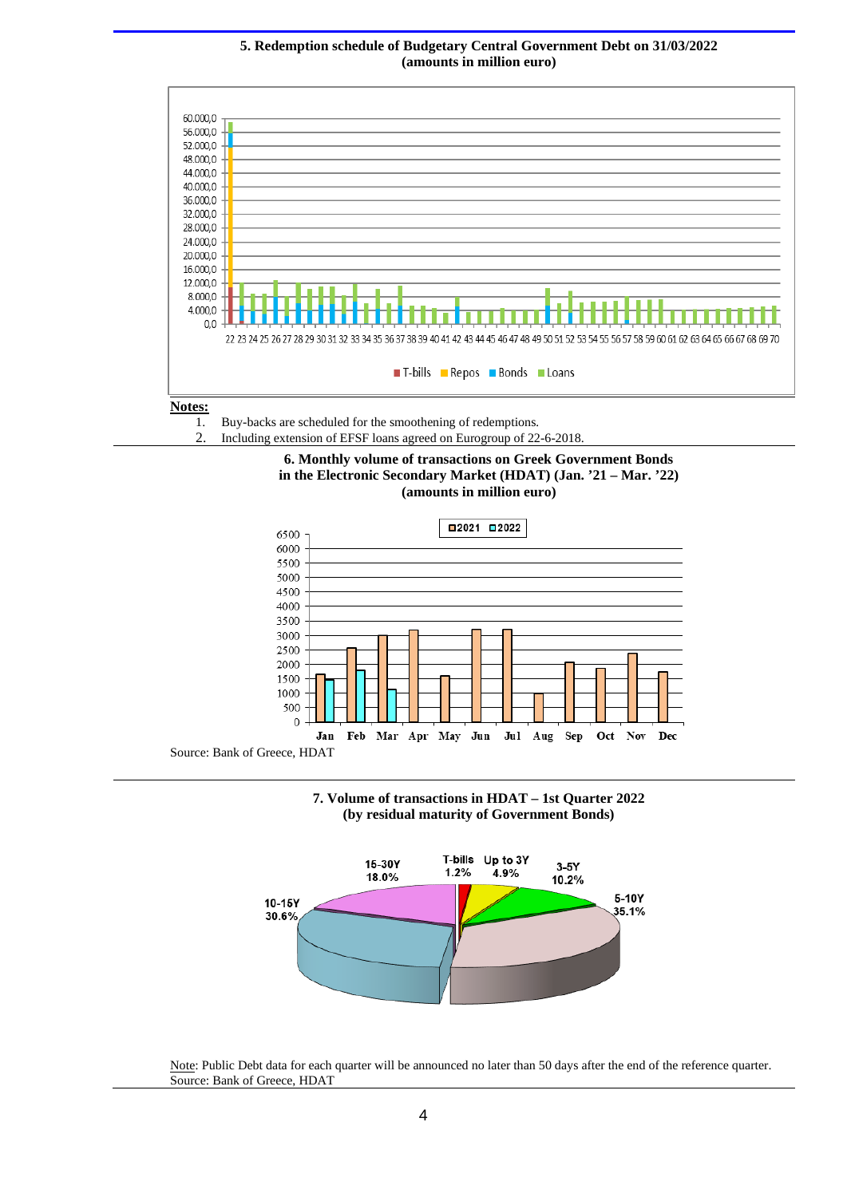#### **5. Redemption schedule of Budgetary Central Government Debt on 31/03/2022 (amounts in million euro)**



1. Buy-backs are scheduled for the smoothening of redemptions*.* 2. Including extension of EFSF loans agreed on Eurogroup of 22-6-2018.





Source: Bank of Greece, HDAT





Note: Public Debt data for each quarter will be announced no later than 50 days after the end of the reference quarter. Source: Bank of Greece, HDAT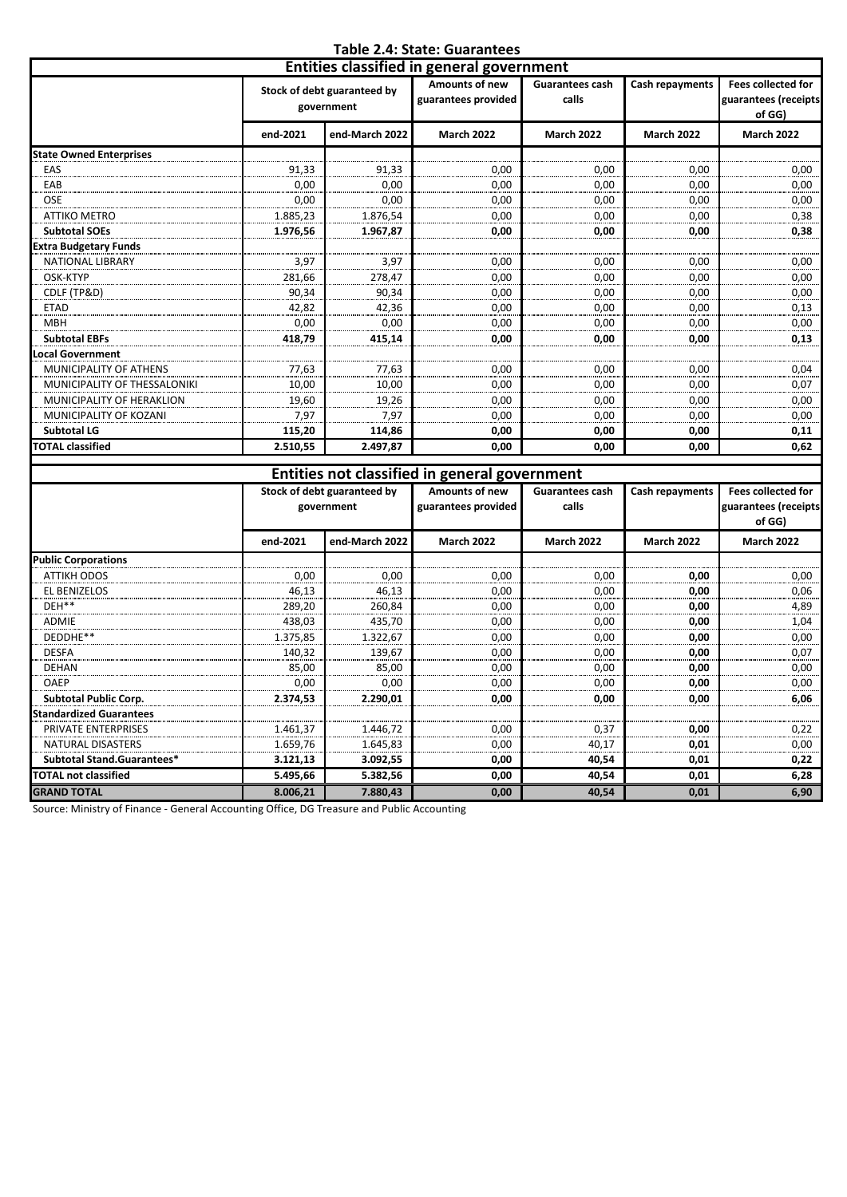## **Table 2.4: State: Guarantees**

|                                  | Entities classified in general government |                                           |                                       |                                 |                   |                                                             |  |  |  |  |  |
|----------------------------------|-------------------------------------------|-------------------------------------------|---------------------------------------|---------------------------------|-------------------|-------------------------------------------------------------|--|--|--|--|--|
|                                  |                                           | Stock of debt guaranteed by<br>government | Amounts of new<br>guarantees provided | <b>Guarantees cash</b><br>calls | Cash repayments   | <b>Fees collected for</b><br>guarantees (receipts<br>of GG) |  |  |  |  |  |
|                                  | end-2021                                  | end-March 2022                            | <b>March 2022</b>                     | <b>March 2022</b>               | <b>March 2022</b> | <b>March 2022</b>                                           |  |  |  |  |  |
| <b>State Owned Enterprises</b>   |                                           |                                           |                                       |                                 |                   |                                                             |  |  |  |  |  |
| EAS                              | 91,33                                     | 91,33                                     | 0,00                                  | 0,00                            | 0.00              | 0,00                                                        |  |  |  |  |  |
| EAB                              | 0.00                                      | 0,00                                      | 0,00                                  | 0,00                            | 0.00              | 0,00                                                        |  |  |  |  |  |
| <b>OSE</b>                       | 0,00                                      | 0,00                                      | 0,00                                  | 0,00                            | 0.00              | 0,00                                                        |  |  |  |  |  |
| <b>ATTIKO METRO</b>              | 1.885,23                                  | 1.876,54                                  | 0,00                                  | 0,00                            | 0,00              | 0,38                                                        |  |  |  |  |  |
| <b>Subtotal SOEs</b>             | 1.976,56                                  | 1.967,87                                  | 0,00                                  | 0,00                            | 0.00              | 0,38                                                        |  |  |  |  |  |
| <b>Extra Budgetary Funds</b>     |                                           |                                           |                                       |                                 |                   |                                                             |  |  |  |  |  |
| <b>NATIONAL LIBRARY</b>          | 3,97                                      | 3,97                                      | 0,00                                  | 0,00                            | 0,00              | 0,00                                                        |  |  |  |  |  |
| OSK-KTYP                         | 281,66                                    | 278,47                                    | 0,00                                  | 0,00                            | 0.00              | 0,00                                                        |  |  |  |  |  |
| CDLF (TP&D)                      | 90,34                                     | 90,34                                     | 0,00                                  | 0,00                            | 0,00              | 0,00                                                        |  |  |  |  |  |
| <b>ETAD</b>                      | 42.82                                     | 42.36                                     | 0,00                                  | 0,00                            | 0.00              | 0,13                                                        |  |  |  |  |  |
| <b>MBH</b>                       | 0.00                                      | 0,00                                      | 0,00                                  | 0,00                            | 0,00              | 0,00                                                        |  |  |  |  |  |
| <b>Subtotal EBFs</b>             | 418,79                                    | 415,14                                    | 0,00                                  | 0,00                            | 0,00              | 0,13                                                        |  |  |  |  |  |
| ocal Government.                 |                                           |                                           |                                       |                                 |                   |                                                             |  |  |  |  |  |
| MUNICIPALITY OF ATHENS           | 77,63                                     | 77,63                                     | 0,00                                  | 0,00                            | 0,00              | 0,04                                                        |  |  |  |  |  |
| MUNICIPALITY OF THESSALONIKI     | 10,00                                     | 10,00                                     | 0,00                                  | 0,00                            | 0,00              | 0,07                                                        |  |  |  |  |  |
| <b>MUNICIPALITY OF HERAKLION</b> | 19,60                                     | 19,26                                     | 0,00                                  | 0,00                            | 0,00              | 0,00                                                        |  |  |  |  |  |
| MUNICIPALITY OF KOZANI           | 7.97                                      | 7.97                                      | 0,00                                  | 0,00                            | 0.00              | 0,00                                                        |  |  |  |  |  |
| <b>Subtotal LG</b>               | 115,20                                    | 114,86                                    | 0,00                                  | 0,00                            | 0,00              | 0,11                                                        |  |  |  |  |  |
| <b>TOTAL classified</b>          | 2.510,55                                  | 2.497.87                                  | 0,00                                  | 0,00                            | 0,00              | 0,62                                                        |  |  |  |  |  |

|                                | Entities not classified in general government |                                                                  |                   |                                 |                   |                                                             |  |  |  |  |
|--------------------------------|-----------------------------------------------|------------------------------------------------------------------|-------------------|---------------------------------|-------------------|-------------------------------------------------------------|--|--|--|--|
|                                |                                               | Stock of debt guaranteed by<br>guarantees provided<br>government |                   | <b>Guarantees cash</b><br>calls | Cash repayments   | <b>Fees collected for</b><br>guarantees (receipts<br>of GG) |  |  |  |  |
|                                | end-2021                                      | end-March 2022                                                   | <b>March 2022</b> | <b>March 2022</b>               | <b>March 2022</b> | <b>March 2022</b>                                           |  |  |  |  |
| <b>Public Corporations</b>     |                                               |                                                                  |                   |                                 |                   |                                                             |  |  |  |  |
| <b>ATTIKH ODOS</b>             | 0,00                                          | 0,00                                                             | 0,00              | 0,00                            | 0.00              | 0,00                                                        |  |  |  |  |
| <b>EL BENIZELOS</b>            | 46,13                                         | 46,13                                                            | 0,00              | 0,00                            | 0,00              | 0,06                                                        |  |  |  |  |
| DEH**                          | 289,20                                        | 260,84                                                           | 0,00              | 0,00                            | 0,00              | 4,89                                                        |  |  |  |  |
| <b>ADMIE</b>                   | 438,03                                        | 435.70                                                           | 0,00              | 0,00                            | 0,00              | 1,04                                                        |  |  |  |  |
| DEDDHE**                       | 1.375,85                                      | 1.322,67                                                         | 0,00              | 0,00                            | 0,00              | 0,00                                                        |  |  |  |  |
| <b>DESFA</b>                   | 140,32                                        | 139,67                                                           | 0,00              | 0,00                            | 0,00              | 0,07                                                        |  |  |  |  |
| <b>DEHAN</b>                   | 85,00                                         | 85,00                                                            | 0,00              | 0,00                            | 0,00              | 0,00                                                        |  |  |  |  |
| OAEP                           | 0,00                                          | 0,00                                                             | 0,00              | 0,00                            | 0,00              | 0,00                                                        |  |  |  |  |
| <b>Subtotal Public Corp.</b>   | 2.374,53                                      | 2.290,01                                                         | 0.00              | 0,00                            | 0.00              | 6,06                                                        |  |  |  |  |
| <b>Standardized Guarantees</b> |                                               |                                                                  |                   |                                 |                   |                                                             |  |  |  |  |
| <b>PRIVATE ENTERPRISES</b>     | 1.461,37                                      | 1.446,72                                                         | 0,00              | 0,37                            | 0.00              | 0,22                                                        |  |  |  |  |
| <b>NATURAL DISASTERS</b>       | 1.659,76                                      | 1.645,83                                                         | 0,00              | 40,17                           | 0,01              | 0,00                                                        |  |  |  |  |
| Subtotal Stand.Guarantees*     | 3.121,13                                      | 3.092,55                                                         | 0,00              | 40,54                           | 0,01              | 0,22                                                        |  |  |  |  |
| <b>TOTAL not classified</b>    | 5.495,66                                      | 5.382,56                                                         | 0,00              | 40,54                           | 0,01              | 6,28                                                        |  |  |  |  |
| <b>GRAND TOTAL</b>             | 8.006,21                                      | 7.880,43                                                         | 0.00              | 40,54                           | 0,01              | 6,90                                                        |  |  |  |  |

Source: Ministry of Finance - General Accounting Office, DG Treasure and Public Accounting